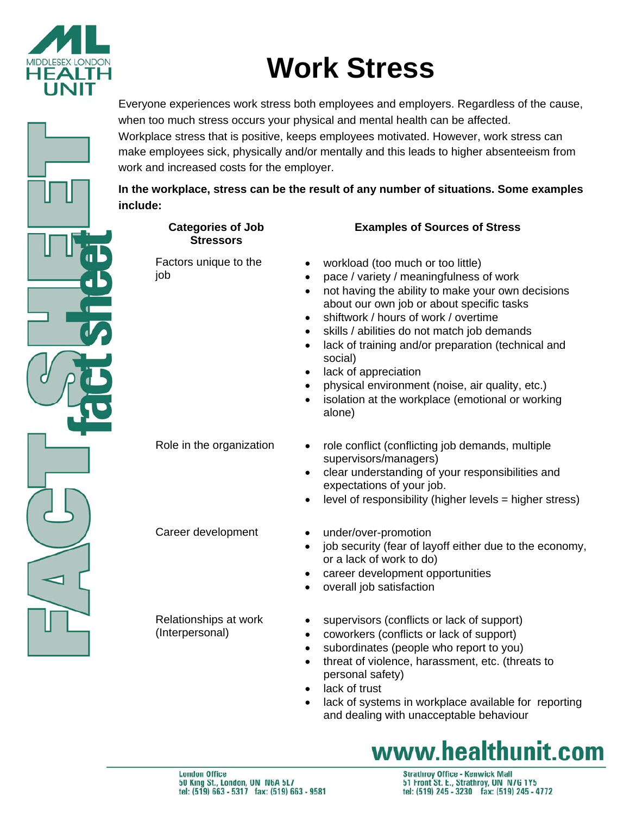

# **Work Stress**

Everyone experiences work stress both employees and employers. Regardless of the cause, when too much stress occurs your physical and mental health can be affected.

Workplace stress that is positive, keeps employees motivated. However, work stress can make employees sick, physically and/or mentally and this leads to higher absenteeism from work and increased costs for the employer.

#### **In the workplace, stress can be the result of any number of situations. Some examples include:**

|  | <b>Categories of Job</b><br><b>Stressors</b> | <b>Examples of Sources of Stress</b>                                                                                                                                                                                                                                                                                                                                                                                                                                                                                                                                                                 |  |
|--|----------------------------------------------|------------------------------------------------------------------------------------------------------------------------------------------------------------------------------------------------------------------------------------------------------------------------------------------------------------------------------------------------------------------------------------------------------------------------------------------------------------------------------------------------------------------------------------------------------------------------------------------------------|--|
|  | Factors unique to the<br>job                 | workload (too much or too little)<br>$\bullet$<br>pace / variety / meaningfulness of work<br>$\bullet$<br>not having the ability to make your own decisions<br>$\bullet$<br>about our own job or about specific tasks<br>shiftwork / hours of work / overtime<br>$\bullet$<br>skills / abilities do not match job demands<br>$\bullet$<br>lack of training and/or preparation (technical and<br>$\bullet$<br>social)<br>lack of appreciation<br>$\bullet$<br>physical environment (noise, air quality, etc.)<br>$\bullet$<br>isolation at the workplace (emotional or working<br>$\bullet$<br>alone) |  |
|  | Role in the organization                     | role conflict (conflicting job demands, multiple<br>$\bullet$<br>supervisors/managers)<br>clear understanding of your responsibilities and<br>$\bullet$<br>expectations of your job.<br>level of responsibility (higher levels = higher stress)<br>$\bullet$                                                                                                                                                                                                                                                                                                                                         |  |
|  | Career development                           | under/over-promotion<br>$\bullet$<br>job security (fear of layoff either due to the economy,<br>$\bullet$<br>or a lack of work to do)<br>career development opportunities<br>$\bullet$<br>overall job satisfaction<br>$\bullet$                                                                                                                                                                                                                                                                                                                                                                      |  |
|  | Relationships at work<br>(Interpersonal)     | supervisors (conflicts or lack of support)<br>$\bullet$<br>coworkers (conflicts or lack of support)<br>$\bullet$<br>subordinates (people who report to you)<br>$\bullet$<br>threat of violence, harassment, etc. (threats to<br>$\bullet$<br>personal safety)<br>lack of trust<br>$\bullet$<br>lack of systems in workplace available for reporting<br>$\bullet$                                                                                                                                                                                                                                     |  |



and dealing with unacceptable behaviour